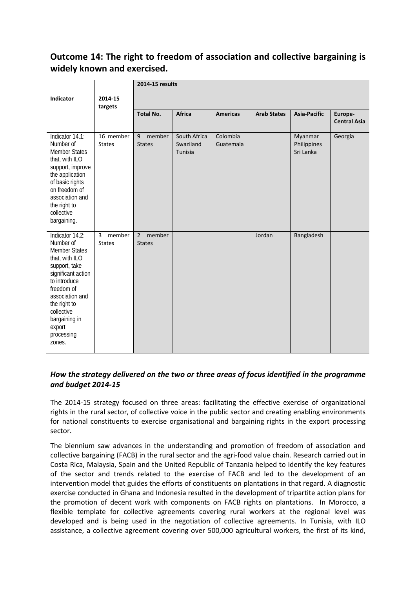# **Outcome 14: The right to freedom of association and collective bargaining is widely known and exercised.**

|                                                                                                                                                                                                                                                 |                                           | 2014-15 results                           |                                      |                       |                    |                                     |                                |  |
|-------------------------------------------------------------------------------------------------------------------------------------------------------------------------------------------------------------------------------------------------|-------------------------------------------|-------------------------------------------|--------------------------------------|-----------------------|--------------------|-------------------------------------|--------------------------------|--|
| <b>Indicator</b>                                                                                                                                                                                                                                | 2014-15<br>targets                        |                                           |                                      |                       |                    |                                     |                                |  |
|                                                                                                                                                                                                                                                 |                                           | <b>Total No.</b>                          | <b>Africa</b>                        | <b>Americas</b>       | <b>Arab States</b> | <b>Asia-Pacific</b>                 | Europe-<br><b>Central Asia</b> |  |
| Indicator 14.1:<br>Number of<br><b>Member States</b><br>that, with ILO<br>support, improve<br>the application<br>of basic rights<br>on freedom of<br>association and<br>the right to<br>collective<br>bargaining.                               | 16 member<br><b>States</b>                | 9<br>member<br><b>States</b>              | South Africa<br>Swaziland<br>Tunisia | Colombia<br>Guatemala |                    | Myanmar<br>Philippines<br>Sri Lanka | Georgia                        |  |
| Indicator 14.2:<br>Number of<br><b>Member States</b><br>that, with ILO<br>support, take<br>significant action<br>to introduce<br>freedom of<br>association and<br>the right to<br>collective<br>bargaining in<br>export<br>processing<br>zones. | $\overline{3}$<br>member<br><b>States</b> | member<br>$\overline{2}$<br><b>States</b> |                                      |                       | Jordan             | Bangladesh                          |                                |  |

# *How the strategy delivered on the two or three areas of focus identified in the programme and budget 2014-15*

The 2014-15 strategy focused on three areas: facilitating the effective exercise of organizational rights in the rural sector, of collective voice in the public sector and creating enabling environments for national constituents to exercise organisational and bargaining rights in the export processing sector.

The biennium saw advances in the understanding and promotion of freedom of association and collective bargaining (FACB) in the rural sector and the agri-food value chain. Research carried out in Costa Rica, Malaysia, Spain and the United Republic of Tanzania helped to identify the key features of the sector and trends related to the exercise of FACB and led to the development of an intervention model that guides the efforts of constituents on plantations in that regard. A diagnostic exercise conducted in Ghana and Indonesia resulted in the development of tripartite action plans for the promotion of decent work with components on FACB rights on plantations. In Morocco, a flexible template for collective agreements covering rural workers at the regional level was developed and is being used in the negotiation of collective agreements. In Tunisia, with ILO assistance, a collective agreement covering over 500,000 agricultural workers, the first of its kind,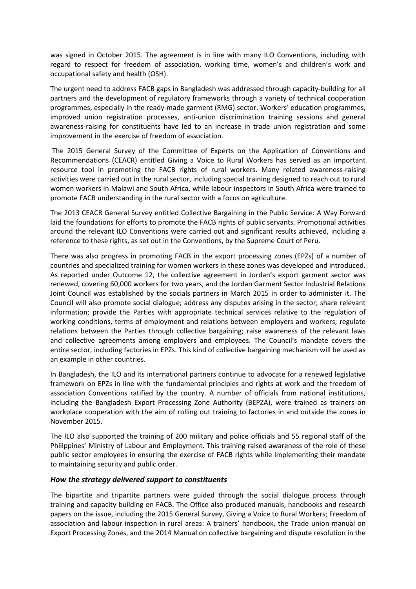was signed in October 2015. The agreement is in line with many ILO Conventions, including with regard to respect for freedom of association, working time, women's and children's work and occupational safety and health (OSH).

The urgent need to address FACB gaps in Bangladesh was addressed through capacity-building for all partners and the development of regulatory frameworks through a variety of technical cooperation programmes, especially in the ready-made garment (RMG) sector. Workers' education programmes, improved union registration processes, anti-union discrimination training sessions and general awareness-raising for constituents have led to an increase in trade union registration and some improvement in the exercise of freedom of association.

The 2015 General Survey of the Committee of Experts on the Application of Conventions and Recommendations (CEACR) entitled Giving a Voice to Rural Workers has served as an important resource tool in promoting the FACB rights of rural workers. Many related awareness-raising activities were carried out in the rural sector, including special training designed to reach out to rural women workers in Malawi and South Africa, while labour inspectors in South Africa were trained to promote FACB understanding in the rural sector with a focus on agriculture.

The 2013 CEACR General Survey entitled Collective Bargaining in the Public Service: A Way Forward laid the foundations for efforts to promote the FACB rights of public servants. Promotional activities around the relevant ILO Conventions were carried out and significant results achieved, including a reference to these rights, as set out in the Conventions, by the Supreme Court of Peru.

There was also progress in promoting FACB in the export processing zones (EPZs) of a number of countries and specialized training for women workers in these zones was developed and introduced. As reported under Outcome 12, the collective agreement in Jordan's export garment sector was renewed, covering 60,000 workers for two years, and the Jordan Garment Sector Industrial Relations Joint Council was established by the socials partners in March 2015 in order to administer it. The Council will also promote social dialogue; address any disputes arising in the sector; share relevant information; provide the Parties with appropriate technical services relative to the regulation of working conditions, terms of employment and relations between employers and workers; regulate relations between the Parties through collective bargaining; raise awareness of the relevant laws and collective agreements among employers and employees. The Council's mandate covers the entire sector, including factories in EPZs. This kind of collective bargaining mechanism will be used as an example in other countries.

In Bangladesh, the ILO and its international partners continue to advocate for a renewed legislative framework on EPZs in line with the fundamental principles and rights at work and the freedom of association Conventions ratified by the country. A number of officials from national institutions, including the Bangladesh Export Processing Zone Authority (BEPZA), were trained as trainers on workplace cooperation with the aim of rolling out training to factories in and outside the zones in November 2015.

The ILO also supported the training of 200 military and police officials and 55 regional staff of the Philippines' Ministry of Labour and Employment. This training raised awareness of the role of these public sector employees in ensuring the exercise of FACB rights while implementing their mandate to maintaining security and public order.

#### *How the strategy delivered support to constituents*

The bipartite and tripartite partners were guided through the social dialogue process through training and capacity building on FACB. The Office also produced manuals, handbooks and research papers on the issue, including the 2015 General Survey, Giving a Voice to Rural Workers; Freedom of association and labour inspection in rural areas: A trainers' handbook, the Trade union manual on Export Processing Zones, and the 2014 Manual on collective bargaining and dispute resolution in the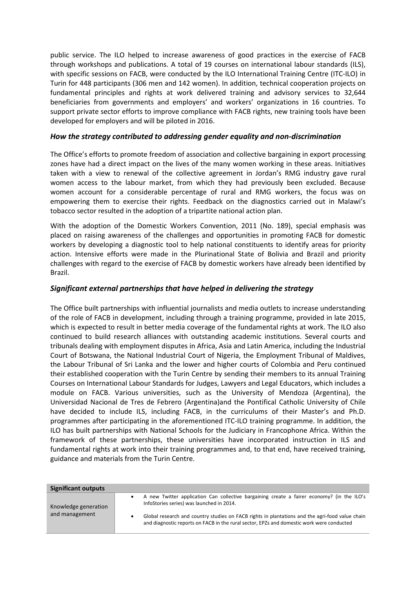public service. The ILO helped to increase awareness of good practices in the exercise of FACB through workshops and publications. A total of 19 courses on international labour standards (ILS), with specific sessions on FACB, were conducted by the ILO International Training Centre (ITC-ILO) in Turin for 448 participants (306 men and 142 women). In addition, technical cooperation projects on fundamental principles and rights at work delivered training and advisory services to 32,644 beneficiaries from governments and employers' and workers' organizations in 16 countries. To support private sector efforts to improve compliance with FACB rights, new training tools have been developed for employers and will be piloted in 2016.

## *How the strategy contributed to addressing gender equality and non-discrimination*

The Office's efforts to promote freedom of association and collective bargaining in export processing zones have had a direct impact on the lives of the many women working in these areas. Initiatives taken with a view to renewal of the collective agreement in Jordan's RMG industry gave rural women access to the labour market, from which they had previously been excluded. Because women account for a considerable percentage of rural and RMG workers, the focus was on empowering them to exercise their rights. Feedback on the diagnostics carried out in Malawi's tobacco sector resulted in the adoption of a tripartite national action plan.

With the adoption of the Domestic Workers Convention, 2011 (No. 189), special emphasis was placed on raising awareness of the challenges and opportunities in promoting FACB for domestic workers by developing a diagnostic tool to help national constituents to identify areas for priority action. Intensive efforts were made in the Plurinational State of Bolivia and Brazil and priority challenges with regard to the exercise of FACB by domestic workers have already been identified by Brazil.

## *Significant external partnerships that have helped in delivering the strategy*

The Office built partnerships with influential journalists and media outlets to increase understanding of the role of FACB in development, including through a training programme, provided in late 2015, which is expected to result in better media coverage of the fundamental rights at work. The ILO also continued to build research alliances with outstanding academic institutions. Several courts and tribunals dealing with employment disputes in Africa, Asia and Latin America, including the Industrial Court of Botswana, the National Industrial Court of Nigeria, the Employment Tribunal of Maldives, the Labour Tribunal of Sri Lanka and the lower and higher courts of Colombia and Peru continued their established cooperation with the Turin Centre by sending their members to its annual Training Courses on International Labour Standards for Judges, Lawyers and Legal Educators, which includes a module on FACB. Various universities, such as the University of Mendoza (Argentina), the Universidad Nacional de Tres de Febrero (Argentina)and the Pontifical Catholic University of Chile have decided to include ILS, including FACB, in the curriculums of their Master's and Ph.D. programmes after participating in the aforementioned ITC-ILO training programme. In addition, the ILO has built partnerships with National Schools for the Judiciary in Francophone Africa. Within the framework of these partnerships, these universities have incorporated instruction in ILS and fundamental rights at work into their training programmes and, to that end, have received training, guidance and materials from the Turin Centre.

| <b>Significant outputs</b> |           |                                                                                                                                                                                              |
|----------------------------|-----------|----------------------------------------------------------------------------------------------------------------------------------------------------------------------------------------------|
| Knowledge generation       | $\bullet$ | A new Twitter application Can collective bargaining create a fairer economy? (in the ILO's<br>InfoStories series) was launched in 2014.                                                      |
| and management             |           | Global research and country studies on FACB rights in plantations and the agri-food value chain<br>and diagnostic reports on FACB in the rural sector, EPZs and domestic work were conducted |